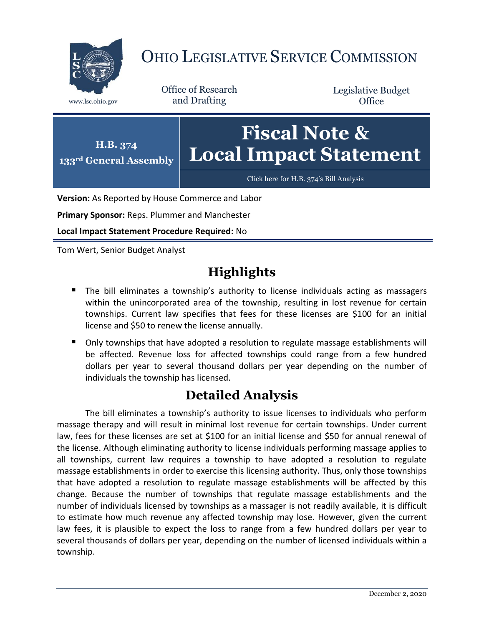

## OHIO LEGISLATIVE SERVICE COMMISSION

Office of Research www.lsc.ohio.gov and Drafting

Legislative Budget **Office** 



**Version:** As Reported by House Commerce and Labor

**Primary Sponsor:** Reps. Plummer and Manchester

**Local Impact Statement Procedure Required:** No

Tom Wert, Senior Budget Analyst

## **Highlights**

- The bill eliminates a township's authority to license individuals acting as massagers within the unincorporated area of the township, resulting in lost revenue for certain townships. Current law specifies that fees for these licenses are \$100 for an initial license and \$50 to renew the license annually.
- Only townships that have adopted a resolution to regulate massage establishments will be affected. Revenue loss for affected townships could range from a few hundred dollars per year to several thousand dollars per year depending on the number of individuals the township has licensed.

## **Detailed Analysis**

The bill eliminates a township's authority to issue licenses to individuals who perform massage therapy and will result in minimal lost revenue for certain townships. Under current law, fees for these licenses are set at \$100 for an initial license and \$50 for annual renewal of the license. Although eliminating authority to license individuals performing massage applies to all townships, current law requires a township to have adopted a resolution to regulate massage establishments in order to exercise this licensing authority. Thus, only those townships that have adopted a resolution to regulate massage establishments will be affected by this change. Because the number of townships that regulate massage establishments and the number of individuals licensed by townships as a massager is not readily available, it is difficult to estimate how much revenue any affected township may lose. However, given the current law fees, it is plausible to expect the loss to range from a few hundred dollars per year to several thousands of dollars per year, depending on the number of licensed individuals within a township.